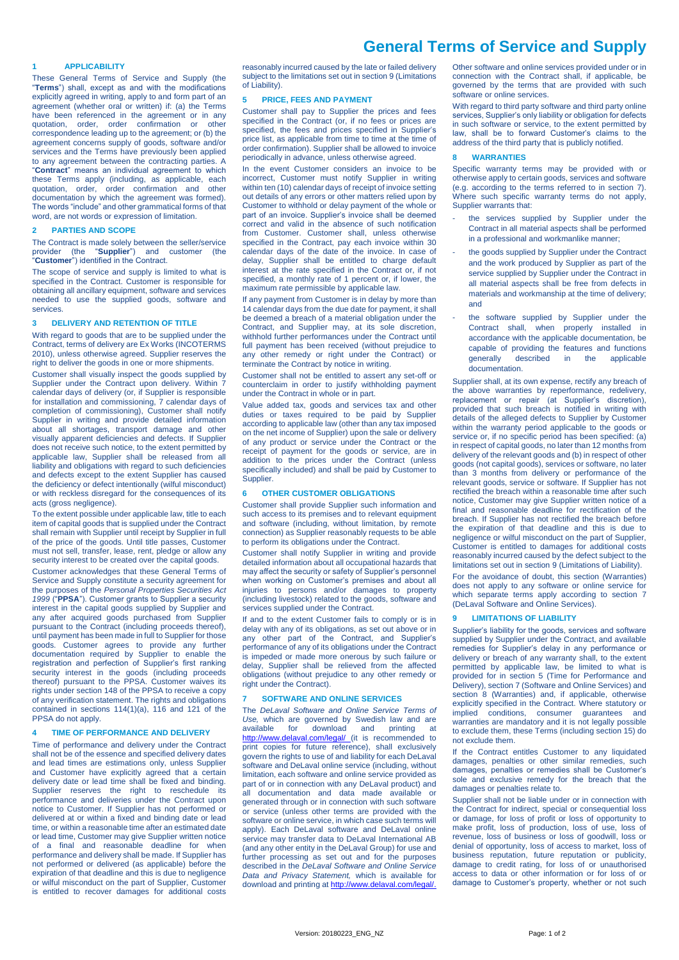# **General Terms of Service and Supply**

## **1 APPLICABILITY**

These General Terms of Service and Supply (the "**Terms**") shall, except as and with the modifications explicitly agreed in writing, apply to and form part of an agreement (whether oral or written) if: (a) the Terms have been referenced in the agreement or in any quotation, order, order confirmation or other correspondence leading up to the agreement; or (b) the agreement concerns supply of goods, software and/or services and the Terms have previously been applied to any agreement between the contracting parties. A "**Contract**" means an individual agreement to which these Terms apply (including, as applicable, each quotation, order, order confirmation and other documentation by which the agreement was formed). The words "include" and other grammatical forms of that word, are not words or expression of limitation.

# **2 PARTIES AND SCOPE**

The Contract is made solely between the seller/service provider (the "**Supplier**") and customer (the "**Customer**") identified in the Contract.

The scope of service and supply is limited to what is specified in the Contract. Customer is responsible for obtaining all ancillary equipment, software and services needed to use the supplied goods, software and services.

# **3 DELIVERY AND RETENTION OF TITLE**

With regard to goods that are to be supplied under the Contract, terms of delivery are Ex Works (INCOTERMS 2010), unless otherwise agreed. Supplier reserves the right to deliver the goods in one or more shipments.

Customer shall visually inspect the goods supplied by Supplier under the Contract upon delivery. Within 7 calendar days of delivery (or, if Supplier is responsible for installation and commissioning, 7 calendar days of completion of commissioning), Customer shall notify Supplier in writing and provide detailed information about all shortages, transport damage and other visually apparent deficiencies and defects. If Supplier does not receive such notice, to the extent permitted by applicable law, Supplier shall be released from all liability and obligations with regard to such deficiencies and defects except to the extent Supplier has caused the deficiency or defect intentionally (wilful misconduct) or with reckless disregard for the consequences of its acts (gross negligence).

To the extent possible under applicable law, title to each item of capital goods that is supplied under the Contract shall remain with Supplier until receipt by Supplier in full of the price of the goods. Until title passes, Customer must not sell, transfer, lease, rent, pledge or allow any security interest to be created over the capital goods.

Customer acknowledges that these General Terms of Service and Supply constitute a security agreement for the purposes of the *Personal Properties Securities Act 1999* ("**PPSA**"). Customer grants to Supplier a security interest in the capital goods supplied by Supplier and any after acquired goods purchased from Supplier pursuant to the Contract (including proceeds thereof), until payment has been made in full to Supplier for those goods. Customer agrees to provide any further documentation required by Supplier to enable the registration and perfection of Supplier's first ranking security interest in the goods (including proceeds thereof) pursuant to the PPSA. Customer waives its rights under section 148 of the PPSA to receive a copy of any verification statement. The rights and obligations contained in sections 114(1)(a), 116 and 121 of the PPSA do not apply.

# **4 TIME OF PERFORMANCE AND DELIVERY**

Time of performance and delivery under the Contract shall not be of the essence and specified delivery dates and lead times are estimations only, unless Supplier and Customer have explicitly agreed that a certain delivery date or lead time shall be fixed and binding. Supplier reserves the right to reschedule its performance and deliveries under the Contract upon notice to Customer. If Supplier has not performed or delivered at or within a fixed and binding date or lead time, or within a reasonable time after an estimated date or lead time, Customer may give Supplier written notice of a final and reasonable deadline for when performance and delivery shall be made. If Supplier has not performed or delivered (as applicable) before the expiration of that deadline and this is due to negligence or wilful misconduct on the part of Supplier, Customer is entitled to recover damages for additional costs

reasonably incurred caused by the late or failed delivery subject to the limitations set out in sectio[n 9](#page-0-0) (Limitations of Liability).

#### <span id="page-0-2"></span>**5 PRICE, FEES AND PAYMENT**

Customer shall pay to Supplier the prices and fees specified in the Contract (or, if no fees or prices are specified, the fees and prices specified in Supplier's price list, as applicable from time to time at the time of order confirmation). Supplier shall be allowed to invoice periodically in advance, unless otherwise agreed.

In the event Customer considers an invoice to be incorrect, Customer must notify Supplier in writing within ten (10) calendar days of receipt of invoice setting out details of any errors or other matters relied upon by Customer to withhold or delay payment of the whole or part of an invoice. Supplier's invoice shall be deemed correct and valid in the absence of such notification from Customer. Customer shall, unless otherwise specified in the Contract, pay each invoice within 30 calendar days of the date of the invoice. In case of delay, Supplier shall be entitled to charge default interest at the rate specified in the Contract or, if not specified, a monthly rate of 1 percent or, if lower, the maximum rate permissible by applicable law.

If any payment from Customer is in delay by more than 14 calendar days from the due date for payment, it shall be deemed a breach of a material obligation under the Contract, and Supplier may, at its sole discretion, withhold further performances under the Contract until full payment has been received (without prejudice to any other remedy or right under the Contract) or terminate the Contract by notice in writing.

Customer shall not be entitled to assert any set-off or counterclaim in order to justify withholding payment under the Contract in whole or in part.

Value added tax, goods and services tax and other duties or taxes required to be paid by Supplier according to applicable law (other than any tax imposed on the net income of Supplier) upon the sale or delivery of any product or service under the Contract or the receipt of payment for the goods or service, are in addition to the prices under the Contract (unless specifically included) and shall be paid by Customer to **Supplier** 

## **6 OTHER CUSTOMER OBLIGATIONS**

Customer shall provide Supplier such information and such access to its premises and to relevant equipment and software (including, without limitation, by remote connection) as Supplier reasonably requests to be able to perform its obligations under the Contract.

Customer shall notify Supplier in writing and provide detailed information about all occupational hazards that may affect the security or safety of Supplier's personnel when working on Customer's premises and about all injuries to persons and/or damages to property (including livestock) related to the goods, software and services supplied under the Contract.

If and to the extent Customer fails to comply or is in delay with any of its obligations, as set out above or in any other part of the Contract, and Supplier's performance of any of its obligations under the Contract is impeded or made more onerous by such failure or delay, Supplier shall be relieved from the affected obligations (without prejudice to any other remedy or right under the Contract).

#### <span id="page-0-1"></span>**7 SOFTWARE AND ONLINE SERVICES**

The *DeLaval Software and Online Service Terms of Use,* which are governed by Swedish law and are available for download and printing at <http://www.delaval.com/legal/> (it is recommended to print copies for future reference), shall exclusively govern the rights to use of and liability for each DeLaval software and DeLaval online service (including, without limitation, each software and online service provided as part of or in connection with any DeLaval product) and all documentation and data made available or generated through or in connection with such software or service (unless other terms are provided with the software or online service, in which case such terms will apply). Each DeLaval software and DeLaval online service may transfer data to DeLaval International AB (and any other entity in the DeLaval Group) for use and further processing as set out and for the purposes described in the *DeLaval Software and Online Service Data and Privacy Statement,* which is available for download and printing a[t http://www.delaval.com/legal/.](http://www.delaval.com/legal/)

Other software and online services provided under or in connection with the Contract shall, if applicable, be governed by the terms that are provided with such software or online services.

With regard to third party software and third party online services, Supplier's only liability or obligation for defects in such software or service, to the extent permitted by law, shall be to forward Customer's claims to the address of the third party that is publicly notified.

# <span id="page-0-3"></span>**8 WARRANTIES**

Specific warranty terms may be provided with or otherwise apply to certain goods, services and software (e.g. according to the terms referred to in section [7\).](#page-0-1) Where such specific warranty terms do not apply, Supplier warrants that:

- the services supplied by Supplier under the Contract in all material aspects shall be performed in a professional and workmanlike manner;
- the goods supplied by Supplier under the Contract and the work produced by Supplier as part of the service supplied by Supplier under the Contract in all material aspects shall be free from defects in materials and workmanship at the time of delivery; and
- the software supplied by Supplier under the Contract shall, when properly installed in accordance with the applicable documentation, be capable of providing the features and functions<br>generally described in the applicable described in the applicable documentation.

Supplier shall, at its own expense, rectify any breach of the above warranties by reperformance, redelivery, replacement or repair (at Supplier's discretion), provided that such breach is notified in writing with details of the alleged defects to Supplier by Customer within the warranty period applicable to the goods or service or, if no specific period has been specified: (a) in respect of capital goods, no later than 12 months from delivery of the relevant goods and (b) in respect of other goods (not capital goods), services or software, no later than 3 months from delivery or performance of the relevant goods, service or software. If Supplier has not rectified the breach within a reasonable time after such notice, Customer may give Supplier written notice of a final and reasonable deadline for rectification of the breach. If Supplier has not rectified the breach before the expiration of that deadline and this is due to negligence or wilful misconduct on the part of Supplier, Customer is entitled to damages for additional costs reasonably incurred caused by the defect subject to the limitations set out in sectio[n 9](#page-0-0) (Limitations of Liability).

For the avoidance of doubt, this section (Warranties) does not apply to any software or online service for which separate terms apply according to section [7](#page-0-1) (DeLaval Software and Online Services).

# <span id="page-0-0"></span>**9 LIMITATIONS OF LIABILITY**

Supplier's liability for the goods, services and software supplied by Supplier under the Contract, and available remedies for Supplier's delay in any performance or delivery or breach of any warranty shall, to the extent permitted by applicable law, be limited to what is provided for in section [5](#page-0-2) (Time for Performance and Delivery), sectio[n 7](#page-0-1) (Software and Online Services) and section [8](#page-0-3) (Warranties) and, if applicable, otherwise explicitly specified in the Contract. Where statutory or implied conditions, consumer guarantees and warranties are mandatory and it is not legally possible to exclude them, these Terms (including section [15\)](#page-1-0) do not exclude them.

If the Contract entitles Customer to any liquidated damages, penalties or other similar remedies, such damages, penalties or remedies shall be Customer's sole and exclusive remedy for the breach that the damages or penalties relate to.

Supplier shall not be liable under or in connection with the Contract for indirect, special or consequential loss or damage, for loss of profit or loss of opportunity to make profit, loss of production, loss of use, loss of revenue, loss of business or loss of goodwill, loss or denial of opportunity, loss of access to market, loss of business reputation, future reputation or publicity, damage to credit rating, for loss of or unauthorised access to data or other information or for loss of or damage to Customer's property, whether or not such